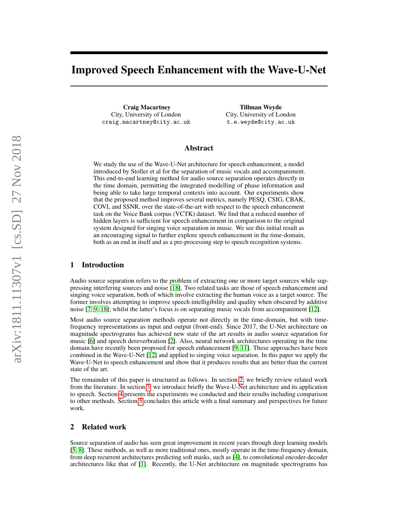# Improved Speech Enhancement with the Wave-U-Net

Craig Macartney City, University of London craig.macartney@city.ac.uk

Tillman Weyde City, University of London t.e.weyde@city.ac.uk

#### Abstract

We study the use of the Wave-U-Net architecture for speech enhancement, a model introduced by Stoller et al for the separation of music vocals and accompaniment. This end-to-end learning method for audio source separation operates directly in the time domain, permitting the integrated modelling of phase information and being able to take large temporal contexts into account. Our experiments show that the proposed method improves several metrics, namely PESQ, CSIG, CBAK, COVL and SSNR, over the state-of-the-art with respect to the speech enhancement task on the Voice Bank corpus (VCTK) dataset. We find that a reduced number of hidden layers is sufficient for speech enhancement in comparison to the original system designed for singing voice separation in music. We see this initial result as an encouraging signal to further explore speech enhancement in the time-domain, both as an end in itself and as a pre-processing step to speech recognition systems.

#### 1 Introduction

Audio source separation refers to the problem of extracting one or more target sources while suppressing interfering sources and noise [\[18\]](#page-4-0). Two related tasks are those of speech enhancement and singing voice separation, both of which involve extracting the human voice as a target source. The former involves attempting to improve speech intelligibility and quality when obscured by additive noise [\[7,](#page-4-1) [9,](#page-4-2) [18\]](#page-4-0); whilst the latter's focus is on separating music vocals from accompaniment [\[12\]](#page-4-3).

Most audio source separation methods operate not directly in the time-domain, but with timefrequency representations as input and output (front-end). Since 2017, the U-Net architecture on magnitude spectrograms has achieved new state of the art results in audio source separation for music [\[6\]](#page-4-4) and speech dereverbration [\[2\]](#page-3-0). Also, neural network architectures operating in the time domain have recently been proposed for speech enhancement [\[9,](#page-4-2) [11\]](#page-4-5). These approaches have been combined in the Wave-U-Net [\[12\]](#page-4-3) and applied to singing voice separation. In this paper we apply the Wave-U-Net to speech enhancement and show that it produces results that are better than the current state of the art.

The remainder of this paper is structured as follows. In section [2,](#page-0-0) we briefly review related work from the literature. In section [3,](#page-1-0) we introduce briefly the Wave-U-Net architecture and its application to speech. Section [4](#page-2-0) presents the experiments we conducted and their results including comparison to other methods. Section [5](#page-3-1) concludes this article with a final summary and perspectives for future work.

#### <span id="page-0-0"></span>2 Related work

Source separation of audio has seen great improvement in recent years through deep learning models [\[5,](#page-4-6) [8\]](#page-4-7). These methods, as well as more traditional ones, mostly operate in the time-frequency domain, from deep recurrent architectures predicting soft masks, such as [\[4\]](#page-4-8), to convolutional encoder-decoder architectures like that of [\[1\]](#page-3-2). Recently, the U-Net architecture on magnitude spectrograms has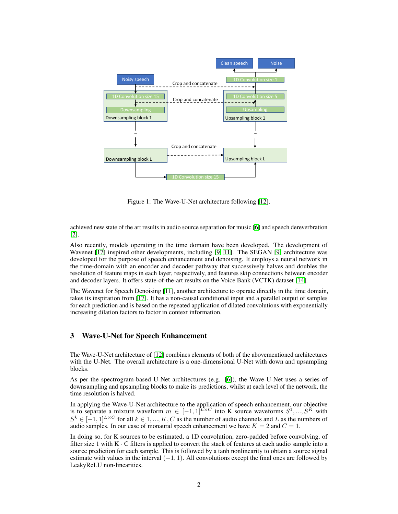

Figure 1: The Wave-U-Net architecture following [\[12\]](#page-4-3).

achieved new state of the art results in audio source separation for music [\[6\]](#page-4-4) and speech dereverbration [\[2\]](#page-3-0).

Also recently, models operating in the time domain have been developed. The development of Wavenet [\[17\]](#page-4-9) inspired other developments, including [\[9,](#page-4-2) [11\]](#page-4-5). The SEGAN [\[9\]](#page-4-2) architecture was developed for the purpose of speech enhancement and denoising. It employs a neural network in the time-domain with an encoder and decoder pathway that successively halves and doubles the resolution of feature maps in each layer, respectively, and features skip connections between encoder and decoder layers. It offers state-of-the-art results on the Voice Bank (VCTK) dataset [\[14\]](#page-4-10).

The Wavenet for Speech Denoising [\[11\]](#page-4-5), another architecture to operate directly in the time domain, takes its inspiration from [\[17\]](#page-4-9). It has a non-causal conditional input and a parallel output of samples for each prediction and is based on the repeated application of dilated convolutions with exponentially increasing dilation factors to factor in context information.

# <span id="page-1-0"></span>3 Wave-U-Net for Speech Enhancement

The Wave-U-Net architecture of [\[12\]](#page-4-3) combines elements of both of the abovementioned architectures with the U-Net. The overall architecture is a one-dimensional U-Net with down and upsampling blocks.

As per the spectrogram-based U-Net architectures (e.g. [\[6\]](#page-4-4)), the Wave-U-Net uses a series of downsampling and upsampling blocks to make its predictions, whilst at each level of the network, the time resolution is halved.

In applying the Wave-U-Net architecture to the application of speech enhancement, our objective is to separate a mixture waveform  $m \in [-1,1]^{L \times C}$  into K source waveforms  $S^1,...,S^K$  with  $S^k \in [-1,1]^{L \times C}$  for all  $k \in 1, ..., K, C$  as the number of audio channels and L as the numbers of audio samples. In our case of monaural speech enhancement we have  $K = 2$  and  $C = 1$ .

In doing so, for K sources to be estimated, a 1D convolution, zero-padded before convolving, of filter size 1 with  $K \cdot C$  filters is applied to convert the stack of features at each audio sample into a source prediction for each sample. This is followed by a tanh nonlinearity to obtain a source signal estimate with values in the interval  $(-1, 1)$ . All convolutions except the final ones are followed by LeakyReLU non-linearities.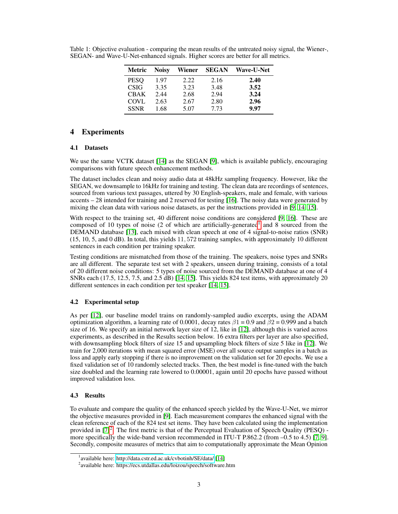| <b>Metric</b> | <b>Noisy</b> | Wiener | <b>SEGAN</b> | Wave-U-Net |
|---------------|--------------|--------|--------------|------------|
| <b>PESO</b>   | 1.97         | 2.22   | 2.16         | 2.40       |
| <b>CSIG</b>   | 3.35         | 3.23   | 3.48         | 3.52       |
| <b>CBAK</b>   | 2.44         | 2.68   | 2.94         | 3.24       |
| <b>COVL</b>   | 2.63         | 2.67   | 2.80         | 2.96       |
| <b>SSNR</b>   | 1.68         | 5.07   | 7.73         | 9.97       |

Table 1: Objective evaluation - comparing the mean results of the untreated noisy signal, the Wiener-, SEGAN- and Wave-U-Net-enhanced signals. Higher scores are better for all metrics.

# <span id="page-2-0"></span>4 Experiments

#### 4.1 Datasets

We use the same VCTK dataset [\[14\]](#page-4-10) as the SEGAN [\[9\]](#page-4-2), which is available publicly, encouraging comparisons with future speech enhancement methods.

The dataset includes clean and noisy audio data at 48kHz sampling frequency. However, like the SEGAN, we downsample to 16kHz for training and testing. The clean data are recordings of sentences, sourced from various text passages, uttered by 30 English-speakers, male and female, with various accents – 28 intended for training and 2 reserved for testing [\[16\]](#page-4-11). The noisy data were generated by mixing the clean data with various noise datasets, as per the instructions provided in [\[9,](#page-4-2) [14,](#page-4-10) [15\]](#page-4-12).

With respect to the training set, 40 different noise conditions are considered [\[9,](#page-4-2) [16\]](#page-4-11). These are composed of [1](#page-2-1)0 types of noise (2 of which are artificially-generated<sup>1</sup> and 8 sourced from the DEMAND database [\[13\]](#page-4-13), each mixed with clean speech at one of 4 signal-to-noise ratios (SNR) (15, 10, 5, and 0 dB). In total, this yields 11, 572 training samples, with approximately 10 different sentences in each condition per training speaker.

Testing conditions are mismatched from those of the training. The speakers, noise types and SNRs are all different. The separate test set with 2 speakers, unseen during training, consists of a total of 20 different noise conditions: 5 types of noise sourced from the DEMAND database at one of 4 SNRs each (17.5, 12.5, 7.5, and 2.5 dB) [\[14,](#page-4-10) [15\]](#page-4-12). This yields 824 test items, with approximately 20 different sentences in each condition per test speaker [\[14,](#page-4-10) [15\]](#page-4-12).

## 4.2 Experimental setup

As per [\[12\]](#page-4-3), our baseline model trains on randomly-sampled audio excerpts, using the ADAM optimization algorithm, a learning rate of 0.0001, decay rates  $\beta$ 1 = 0.9 and  $\beta$ 2 = 0.999 and a batch size of 16. We specify an initial network layer size of 12, like in [\[12\]](#page-4-3), although this is varied across experiments, as described in the Results section below. 16 extra filters per layer are also specified, with downsampling block filters of size 15 and upsampling block filters of size 5 like in [\[12\]](#page-4-3). We train for 2,000 iterations with mean squared error (MSE) over all source output samples in a batch as loss and apply early stopping if there is no improvement on the validation set for 20 epochs. We use a fixed validation set of 10 randomly selected tracks. Then, the best model is fine-tuned with the batch size doubled and the learning rate lowered to 0.00001, again until 20 epochs have passed without improved validation loss.

## 4.3 Results

To evaluate and compare the quality of the enhanced speech yielded by the Wave-U-Net, we mirror the objective measures provided in [\[9\]](#page-4-2). Each measurement compares the enhanced signal with the clean reference of each of the 824 test set items. They have been calculated using the implementation provided in [\[7\]](#page-4-1)<sup>[2](#page-2-2)</sup>. The first metric is that of the Perceptual Evaluation of Speech Quality (PESQ) more specifically the wide-band version recommended in ITU-T P.862.2 (from  $-0.5$  to 4.5) [\[7,](#page-4-1) [9\]](#page-4-2). Secondly, composite measures of metrics that aim to computationally approximate the Mean Opinion

<span id="page-2-1"></span><sup>&</sup>lt;sup>1</sup> available here:<http://data.cstr.ed.ac.uk/cvbotinh/SE/data/> [\[14\]](#page-4-10)

<span id="page-2-2"></span><sup>&</sup>lt;sup>2</sup> available here: https://ecs.utdallas.edu/loizou/speech/software.htm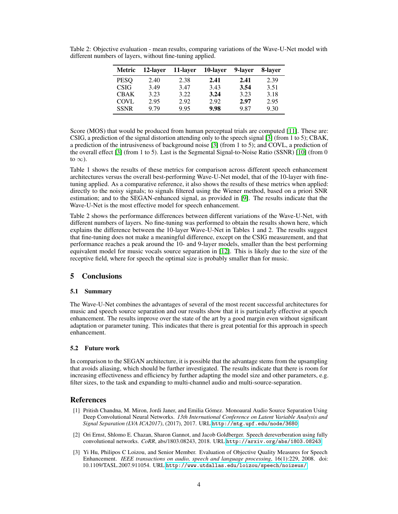| Metric      | 12-layer | 11-layer | 10-layer | 9-layer | 8-laver |
|-------------|----------|----------|----------|---------|---------|
| <b>PESO</b> | 2.40     | 2.38     | 2.41     | 2.41    | 2.39    |
| <b>CSIG</b> | 3.49     | 3.47     | 3.43     | 3.54    | 3.51    |
| <b>CBAK</b> | 3.23     | 3.22     | 3.24     | 3.23    | 3.18    |
| <b>COVL</b> | 2.95     | 2.92     | 2.92     | 2.97    | 2.95    |
| <b>SSNR</b> | 9.79     | 9.95     | 9.98     | 9.87    | 9.30    |

Table 2: Objective evaluation - mean results, comparing variations of the Wave-U-Net model with different numbers of layers, without fine-tuning applied.

Score (MOS) that would be produced from human perceptual trials are computed [\[11\]](#page-4-5). These are: CSIG, a prediction of the signal distortion attending only to the speech signal [\[3\]](#page-3-3) (from 1 to 5); CBAK, a prediction of the intrusiveness of background noise [\[3\]](#page-3-3) (from 1 to 5); and COVL, a prediction of the overall effect [\[3\]](#page-3-3) (from 1 to 5). Last is the Segmental Signal-to-Noise Ratio (SSNR) [\[10\]](#page-4-14) (from 0 to  $\infty$ ).

Table 1 shows the results of these metrics for comparison across different speech enhancement architectures versus the overall best-performing Wave-U-Net model, that of the 10-layer with finetuning applied. As a comparative reference, it also shows the results of these metrics when applied: directly to the noisy signals; to signals filtered using the Wiener method, based on a priori SNR estimation; and to the SEGAN-enhanced signal, as provided in [\[9\]](#page-4-2). The results indicate that the Wave-U-Net is the most effective model for speech enhancement.

Table 2 shows the performance differences between different variations of the Wave-U-Net, with different numbers of layers. No fine-tuning was performed to obtain the results shown here, which explains the difference between the 10-layer Wave-U-Net in Tables 1 and 2. The results suggest that fine-tuning does not make a meaningful difference, except on the CSIG measurement, and that performance reaches a peak around the 10- and 9-layer models, smaller than the best performing equivalent model for music vocals source separation in [\[12\]](#page-4-3). This is likely due to the size of the receptive field, where for speech the optimal size is probably smaller than for music.

# <span id="page-3-1"></span>5 Conclusions

## 5.1 Summary

The Wave-U-Net combines the advantages of several of the most recent successful architectures for music and speech source separation and our results show that it is particularly effective at speech enhancement. The results improve over the state of the art by a good margin even without significant adaptation or parameter tuning. This indicates that there is great potential for this approach in speech enhancement.

## 5.2 Future work

In comparison to the SEGAN architecture, it is possible that the advantage stems from the upsampling that avoids aliasing, which should be further investigated. The results indicate that there is room for increasing effectiveness and efficiency by further adapting the model size and other parameters, e.g. filter sizes, to the task and expanding to multi-channel audio and multi-source-separation.

# References

- <span id="page-3-2"></span>[1] Pritish Chandna, M. Miron, Jordi Janer, and Emilia Gómez. Monoaural Audio Source Separation Using Deep Convolutional Neural Networks. *13th International Conference on Latent Variable Analysis and Signal Separation (LVA ICA2017)*, (2017), 2017. URL <http://mtg.upf.edu/node/3680>.
- <span id="page-3-0"></span>[2] Ori Ernst, Shlomo E. Chazan, Sharon Gannot, and Jacob Goldberger. Speech dereverberation using fully convolutional networks. *CoRR*, abs/1803.08243, 2018. URL <http://arxiv.org/abs/1803.08243>.
- <span id="page-3-3"></span>[3] Yi Hu, Philipos C Loizou, and Senior Member. Evaluation of Objective Quality Measures for Speech Enhancement. *IEEE transactions on audio, speech and language processing*, 16(1):229, 2008. doi: 10.1109/TASL.2007.911054. URL <http://www.utdallas.edu/loizou/speech/noizeus/>.